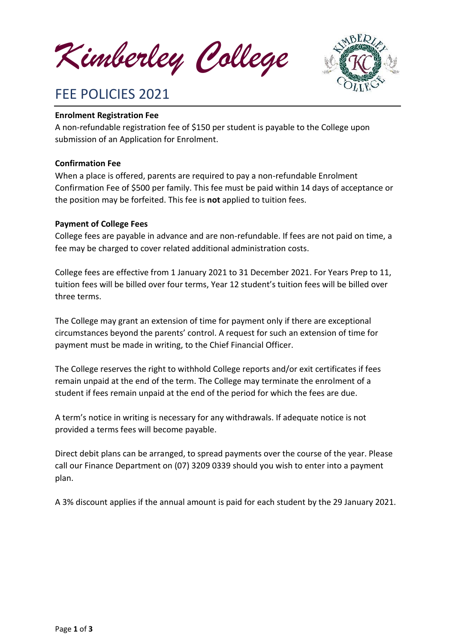*Kimberley College*



# FEE POLICIES 2021

#### **Enrolment Registration Fee**

A non-refundable registration fee of \$150 per student is payable to the College upon submission of an Application for Enrolment.

#### **Confirmation Fee**

When a place is offered, parents are required to pay a non-refundable Enrolment Confirmation Fee of \$500 per family. This fee must be paid within 14 days of acceptance or the position may be forfeited. This fee is **not** applied to tuition fees.

#### **Payment of College Fees**

College fees are payable in advance and are non-refundable. If fees are not paid on time, a fee may be charged to cover related additional administration costs.

College fees are effective from 1 January 2021 to 31 December 2021. For Years Prep to 11, tuition fees will be billed over four terms, Year 12 student's tuition fees will be billed over three terms.

The College may grant an extension of time for payment only if there are exceptional circumstances beyond the parents' control. A request for such an extension of time for payment must be made in writing, to the Chief Financial Officer.

The College reserves the right to withhold College reports and/or exit certificates if fees remain unpaid at the end of the term. The College may terminate the enrolment of a student if fees remain unpaid at the end of the period for which the fees are due.

A term's notice in writing is necessary for any withdrawals. If adequate notice is not provided a terms fees will become payable.

Direct debit plans can be arranged, to spread payments over the course of the year. Please call our Finance Department on (07) 3209 0339 should you wish to enter into a payment plan.

A 3% discount applies if the annual amount is paid for each student by the 29 January 2021.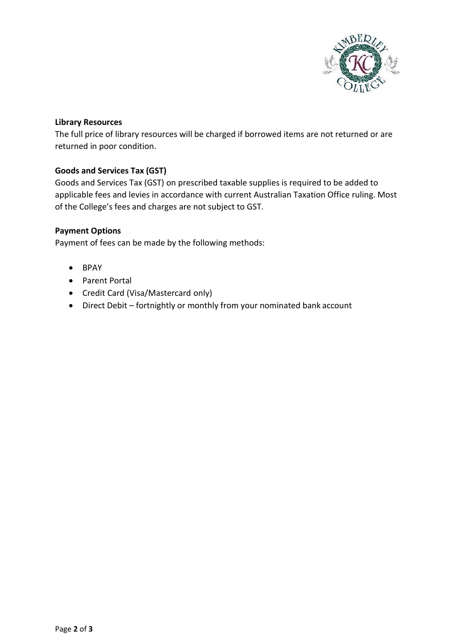

#### **Library Resources**

The full price of library resources will be charged if borrowed items are not returned or are returned in poor condition.

## **Goods and Services Tax (GST)**

Goods and Services Tax (GST) on prescribed taxable supplies is required to be added to applicable fees and levies in accordance with current Australian Taxation Office ruling. Most of the College's fees and charges are not subject to GST.

#### **Payment Options**

Payment of fees can be made by the following methods:

- BPAY
- Parent Portal
- Credit Card (Visa/Mastercard only)
- Direct Debit fortnightly or monthly from your nominated bank account